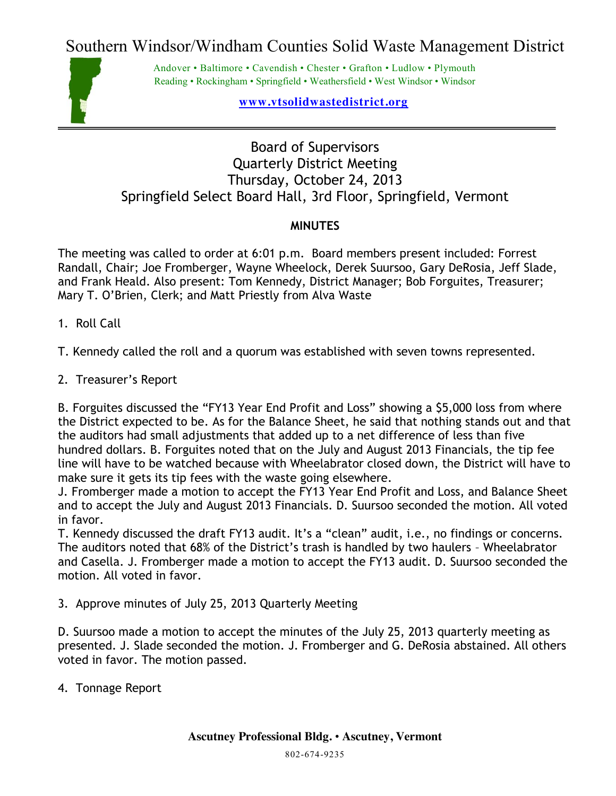Southern Windsor/Windham Counties Solid Waste Management District



Andover • Baltimore • Cavendish • Chester • Grafton • Ludlow • Plymouth Reading • Rockingham • Springfield • Weathersfield • West Windsor • Windsor

**www.vtsolidwastedistrict.org**

## Board of Supervisors Quarterly District Meeting Thursday, October 24, 2013 Springfield Select Board Hall, 3rd Floor, Springfield, Vermont

## **MINUTES**

The meeting was called to order at 6:01 p.m. Board members present included: Forrest Randall, Chair; Joe Fromberger, Wayne Wheelock, Derek Suursoo, Gary DeRosia, Jeff Slade, and Frank Heald. Also present: Tom Kennedy, District Manager; Bob Forguites, Treasurer; Mary T. O'Brien, Clerk; and Matt Priestly from Alva Waste

1. Roll Call

T. Kennedy called the roll and a quorum was established with seven towns represented.

2. Treasurer's Report

B. Forguites discussed the "FY13 Year End Profit and Loss" showing a \$5,000 loss from where the District expected to be. As for the Balance Sheet, he said that nothing stands out and that the auditors had small adjustments that added up to a net difference of less than five hundred dollars. B. Forguites noted that on the July and August 2013 Financials, the tip fee line will have to be watched because with Wheelabrator closed down, the District will have to make sure it gets its tip fees with the waste going elsewhere.

J. Fromberger made a motion to accept the FY13 Year End Profit and Loss, and Balance Sheet and to accept the July and August 2013 Financials. D. Suursoo seconded the motion. All voted in favor.

T. Kennedy discussed the draft FY13 audit. It's a "clean" audit, i.e., no findings or concerns. The auditors noted that 68% of the District's trash is handled by two haulers – Wheelabrator and Casella. J. Fromberger made a motion to accept the FY13 audit. D. Suursoo seconded the motion. All voted in favor.

3. Approve minutes of July 25, 2013 Quarterly Meeting

D. Suursoo made a motion to accept the minutes of the July 25, 2013 quarterly meeting as presented. J. Slade seconded the motion. J. Fromberger and G. DeRosia abstained. All others voted in favor. The motion passed.

4. Tonnage Report